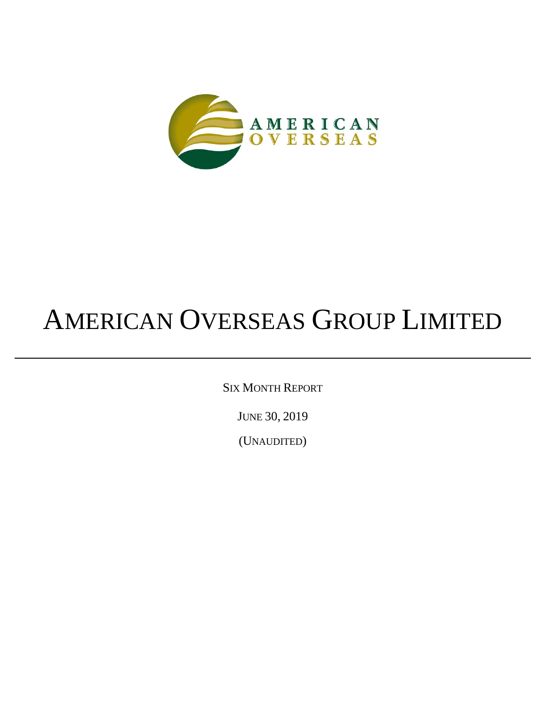

# AMERICAN OVERSEAS GROUP LIMITED

SIX MONTH REPORT

JUNE 30, 2019

(UNAUDITED)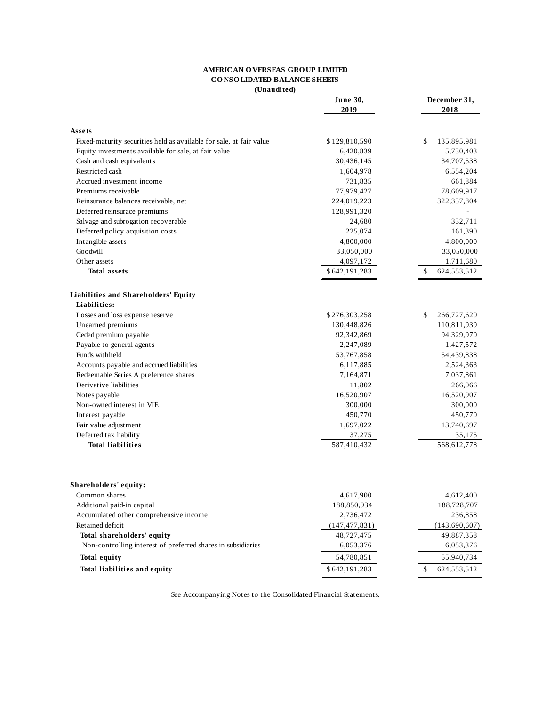# **AMERICAN O VERSEAS GRO UP LIMITED CO NSO LIDATED BALANCE SHEETS**

**(Unaudited)**

|                                                                     | $c$ nauurcu<br>June 30,<br>2019 | December 31,<br>2018 |
|---------------------------------------------------------------------|---------------------------------|----------------------|
| Assets                                                              |                                 |                      |
| Fixed-maturity securities held as available for sale, at fair value | \$129,810,590                   | \$<br>135,895,981    |
| Equity investments available for sale, at fair value                | 6,420,839                       | 5,730,403            |
| Cash and cash equivalents                                           | 30,436,145                      | 34,707,538           |
| Restricted cash                                                     | 1,604,978                       | 6,554,204            |
| Accrued investment income                                           | 731,835                         | 661,884              |
| Premiums receivable                                                 | 77,979,427                      | 78,609,917           |
| Reinsurance balances receivable, net                                | 224,019,223                     | 322,337,804          |
| Deferred reinsurace premiums                                        | 128,991,320                     |                      |
| Salvage and subrogation recoverable                                 | 24,680                          | 332,711              |
| Deferred policy acquisition costs                                   | 225,074                         | 161,390              |
| Intangible assets                                                   | 4,800,000                       | 4,800,000            |
| Goodwill                                                            | 33,050,000                      | 33,050,000           |
| Other assets                                                        | 4,097,172                       | 1,711,680            |
| <b>Total assets</b>                                                 | \$642,191,283                   | \$<br>624,553,512    |
| Liabilities and Shareholders' Equity                                |                                 |                      |
| Liabilities:                                                        |                                 |                      |
| Losses and loss expense reserve                                     | \$276,303,258                   | \$<br>266,727,620    |
| Unearned premiums                                                   | 130,448,826                     | 110,811,939          |
| Ceded premium payable                                               | 92,342,869                      | 94,329,970           |
| Payable to general agents                                           | 2,247,089                       | 1,427,572            |
| Funds withheld                                                      | 53,767,858                      | 54,439,838           |
| Accounts payable and accrued liabilities                            | 6,117,885                       | 2,524,363            |
| Redeemable Series A preference shares                               | 7,164,871                       | 7,037,861            |
| Derivative liabilities                                              | 11,802                          |                      |
|                                                                     |                                 | 266,066              |
| Notes payable                                                       | 16,520,907                      | 16,520,907           |
| Non-owned interest in VIE                                           | 300,000                         | 300,000              |
| Interest payable                                                    | 450,770                         | 450,770              |
| Fair value adjustment                                               | 1,697,022                       | 13,740,697           |
| Deferred tax liability                                              | 37,275                          | 35,175               |
| <b>Total liabilities</b>                                            | 587,410,432                     | 568,612,778          |
| Shareholders' equity:                                               |                                 |                      |
| Common shares                                                       | 4,617,900                       | 4,612,400            |
| Additional paid-in capital                                          | 188,850,934                     | 188,728,707          |
| Accumulated other comprehensive income                              | 2,736,472                       | 236,858              |
| Retained deficit                                                    | (147, 477, 831)                 | (143, 690, 607)      |
| Total shareholders' equity                                          | 48,727,475                      | 49,887,358           |
| Non-controlling interest of preferred shares in subsidiaries        | 6,053,376                       | 6,053,376            |
| <b>Total equity</b>                                                 | 54,780,851                      | 55,940,734           |
| Total liabilities and equity                                        | \$642,191,283                   | 624, 553, 512<br>\$  |
|                                                                     |                                 |                      |

See Accompanying Notes to the Consolidated Financial Statements.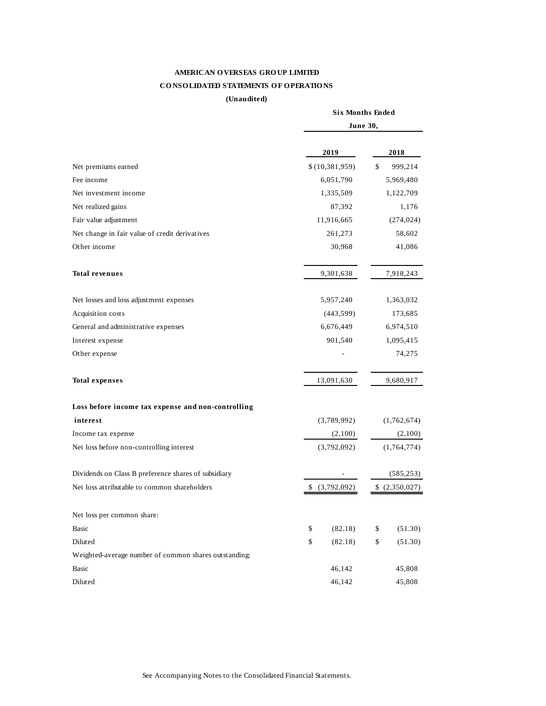# **AMERICAN O VERSEAS GRO UP LIMITED CO NSO LIDATED STATEMENTS O F O PERATIO NS**

#### **(Unaudited)**

|                                                       | <b>Six Months Ended</b> |                  |               |             |
|-------------------------------------------------------|-------------------------|------------------|---------------|-------------|
|                                                       | June 30,                |                  |               |             |
|                                                       |                         | 2019             |               | 2018        |
| Net premiums earned                                   |                         | \$(10, 381, 959) | \$            | 999,214     |
| Fee income                                            |                         | 6,051,790        |               | 5,969,480   |
| Net investment income                                 |                         | 1,335,509        |               | 1,122,709   |
| Net realized gains                                    |                         | 87,392           |               | 1,176       |
| Fair value adjustment                                 |                         | 11,916,665       |               | (274, 024)  |
| Net change in fair value of credit derivatives        |                         | 261,273          |               | 58,602      |
| Other income                                          |                         |                  | 41,086        |             |
| <b>Total revenues</b>                                 |                         | 9,301,638        |               | 7,918,243   |
| Net losses and loss adjustment expenses               |                         | 5,957,240        |               | 1,363,032   |
| Acquisition costs                                     |                         | (443, 599)       |               | 173,685     |
| General and administrative expenses                   |                         | 6,676,449        |               | 6,974,510   |
| Interest expense                                      |                         | 901,540          |               | 1,095,415   |
| Other expense                                         |                         |                  |               | 74,275      |
| <b>Total expenses</b>                                 |                         | 13,091,630       |               | 9,680,917   |
| Loss before income tax expense and non-controlling    |                         |                  |               |             |
| interest                                              |                         | (3,789,992)      |               | (1,762,674) |
| Income tax expense                                    |                         | (2,100)          |               | (2,100)     |
| Net loss before non-controlling interest              |                         | (3,792,092)      |               | (1,764,774) |
| Dividends on Class B preference shares of subsidiary  |                         |                  |               | (585, 253)  |
| Net loss attributable to common shareholders          | (3,792,092)<br>\$       |                  | \$(2,350,027) |             |
| Net loss per common share:                            |                         |                  |               |             |
| Basic                                                 | \$                      | (82.18)          | \$            | (51.30)     |
| Diluted                                               | \$                      | (82.18)          | $\,$          | (51.30)     |
| Weighted-average number of common shares outstanding: |                         |                  |               |             |
| Basic                                                 |                         | 46,142           |               | 45,808      |
| Diluted                                               |                         | 46,142           |               | 45,808      |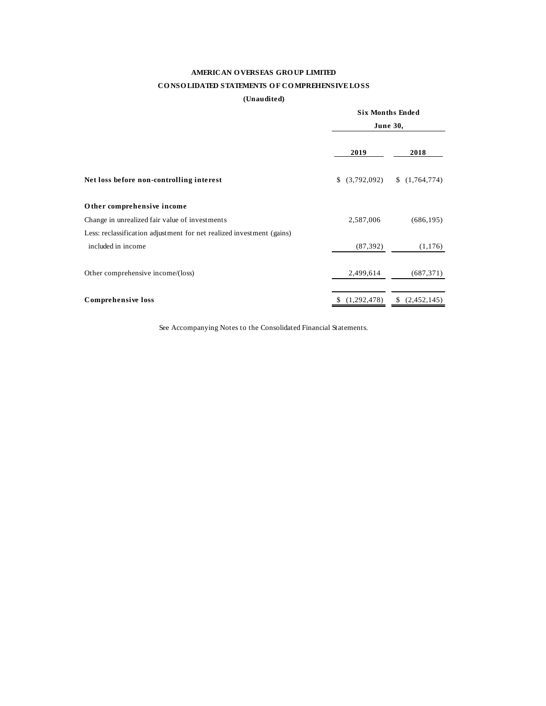# **AMERICAN O VERSEAS GRO UP LIMITED**

# **CO NSO LIDATED STATEMENTS O F CO MPREHENSIVE LO SS**

# **(Unaudited)**

|                                                                       |                   | <b>Six Months Ended</b><br><b>June 30,</b> |  |  |
|-----------------------------------------------------------------------|-------------------|--------------------------------------------|--|--|
|                                                                       | 2019              | 2018                                       |  |  |
| Net loss before non-controlling interest                              |                   | $$(3,792,092) \quad $(1,764,774)$          |  |  |
| Other comprehensive income                                            |                   |                                            |  |  |
| Change in unrealized fair value of investments                        | 2,587,006         | (686, 195)                                 |  |  |
| Less: reclassification adjustment for net realized investment (gains) |                   |                                            |  |  |
| included in income                                                    | (87, 392)         | (1, 176)                                   |  |  |
| Other comprehensive income/(loss)                                     | 2,499,614         | (687, 371)                                 |  |  |
| Comprehensive loss                                                    | (1,292,478)<br>S. | \$<br>(2,452,145)                          |  |  |

See Accompanying Notes to the Consolidated Financial Statements.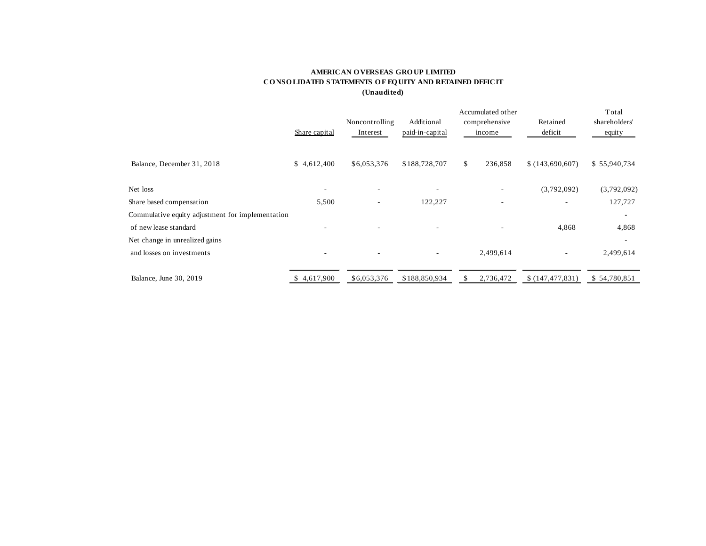## **AMERICAN O VERSEAS GRO UP LIMITED CO NSO LIDATED STATEMENTS O F EQ UITY AND RETAINED DEFICIT (Unaudited)**

|                                                  |               |                            |                               | Total                    |                     |                         |
|--------------------------------------------------|---------------|----------------------------|-------------------------------|--------------------------|---------------------|-------------------------|
|                                                  | Share capital | Noncontrolling<br>Interest | Additional<br>paid-in-capital | comprehensive<br>income  | Retained<br>deficit | shareholders'<br>equity |
|                                                  |               |                            |                               |                          |                     |                         |
| Balance, December 31, 2018                       | \$4,612,400   | \$6,053,376                | \$188,728,707                 | \$<br>236,858            | \$(143,690,607)     | \$55,940,734            |
| Net loss                                         | $\sim$        | $\overline{\phantom{a}}$   | ٠                             |                          | (3,792,092)         | (3,792,092)             |
| Share based compensation                         | 5,500         |                            | 122,227                       |                          |                     | 127,727                 |
| Commulative equity adjustment for implementation |               |                            |                               |                          |                     |                         |
| of new lease standard                            |               | ٠                          | ۰                             | $\overline{\phantom{a}}$ | 4,868               | 4,868                   |
| Net change in unrealized gains                   |               |                            |                               |                          |                     |                         |
| and losses on investments                        |               | $\overline{\phantom{a}}$   | ٠                             | 2,499,614                |                     | 2,499,614               |
| Balance, June 30, 2019                           | 4,617,900     | \$6,053,376                | \$188,850,934                 | 2,736,472<br>S           | \$(147, 477, 831)   | \$54,780,851            |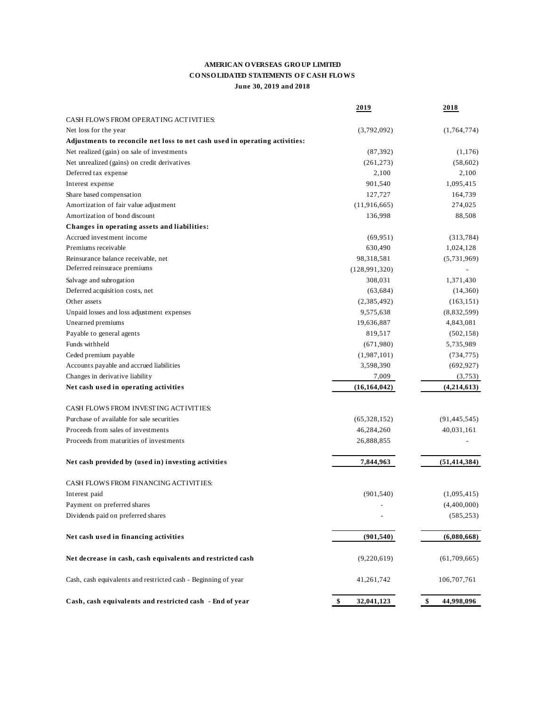# **AMERICAN O VERSEAS GRO UP LIMITED CO NSO LIDATED STATEMENTS O F CASH FLO WS June 30, 2019 and 2018**

|                                                                             | 2019             | 2018             |
|-----------------------------------------------------------------------------|------------------|------------------|
| CASH FLOWS FROM OPERATING ACTIVITIES:                                       |                  |                  |
| Net loss for the year                                                       | (3,792,092)      | (1,764,774)      |
| Adjustments to reconcile net loss to net cash used in operating activities: |                  |                  |
| Net realized (gain) on sale of investments                                  | (87, 392)        | (1,176)          |
| Net unrealized (gains) on credit derivatives                                | (261, 273)       | (58,602)         |
| Deferred tax expense                                                        | 2,100            | 2,100            |
| Interest expense                                                            | 901,540          | 1,095,415        |
| Share based compensation                                                    | 127,727          | 164,739          |
| Amortization of fair value adjustment                                       | (11,916,665)     | 274,025          |
| Amortization of bond discount                                               | 136,998          | 88,508           |
| Changes in operating assets and liabilities:                                |                  |                  |
| Accrued investment income                                                   | (69, 951)        | (313, 784)       |
| Premiums receivable                                                         | 630,490          | 1,024,128        |
| Reinsurance balance receivable, net                                         | 98,318,581       | (5,731,969)      |
| Deferred reinsurace premiums                                                | (128, 991, 320)  |                  |
| Salvage and subrogation                                                     | 308,031          | 1,371,430        |
| Deferred acquisition costs, net                                             | (63, 684)        | (14,360)         |
| Other assets                                                                | (2, 385, 492)    | (163, 151)       |
| Unpaid losses and loss adjustment expenses                                  | 9,575,638        | (8,832,599)      |
| Unearned premiums                                                           | 19,636,887       | 4,843,081        |
| Payable to general agents                                                   | 819,517          | (502, 158)       |
| Funds withheld                                                              | (671,980)        | 5,735,989        |
| Ceded premium payable                                                       | (1,987,101)      | (734, 775)       |
| Accounts payable and accrued liabilities                                    | 3,598,390        | (692, 927)       |
| Changes in derivative liability                                             | 7,009            | (3,753)          |
| Net cash used in operating activities                                       | (16, 164, 042)   | (4,214,613)      |
|                                                                             |                  |                  |
| CASH FLOWS FROM INVESTING ACTIVITIES:                                       |                  |                  |
| Purchase of available for sale securities                                   | (65,328,152)     | (91, 445, 545)   |
| Proceeds from sales of investments                                          | 46,284,260       | 40,031,161       |
| Proceeds from maturities of investments                                     | 26,888,855       |                  |
|                                                                             |                  |                  |
| Net cash provided by (used in) investing activities                         | 7,844,963        | (51, 414, 384)   |
| CASH FLOWS FROM FINANCING ACTIVITIES:                                       |                  |                  |
| Interest paid                                                               | (901, 540)       | (1,095,415)      |
| Payment on preferred shares                                                 |                  | (4,400,000)      |
| Dividends paid on preferred shares                                          |                  | (585, 253)       |
|                                                                             |                  |                  |
| Net cash used in financing activities                                       | (901, 540)       | (6,080,668)      |
| Net decrease in cash, cash equivalents and restricted cash                  | (9,220,619)      | (61, 709, 665)   |
| Cash, cash equivalents and restricted cash - Beginning of year              | 41,261,742       | 106,707,761      |
| Cash, cash equivalents and restricted cash - End of year                    | \$<br>32,041,123 | \$<br>44,998,096 |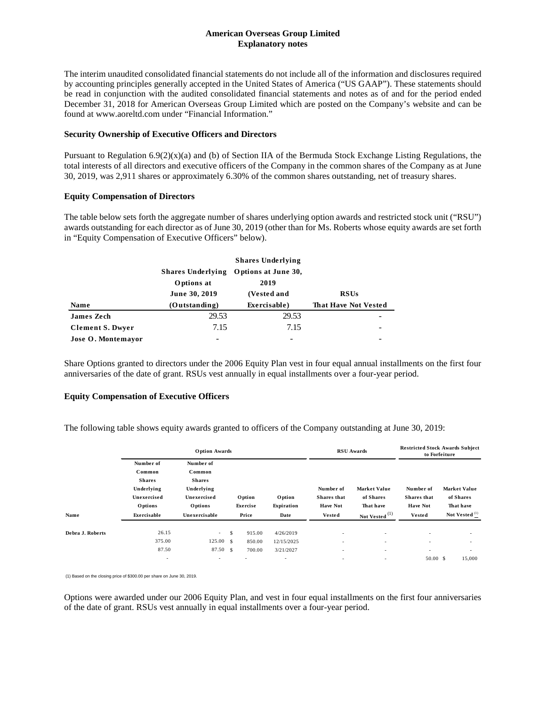## **American Overseas Group Limited Explanatory notes**

The interim unaudited consolidated financial statements do not include all of the information and disclosures required by accounting principles generally accepted in the United States of America ("US GAAP"). These statements should be read in conjunction with the audited consolidated financial statements and notes as of and for the period ended December 31, 2018 for American Overseas Group Limited which are posted on the Company's website and can be found at www.aoreltd.com under "Financial Information."

#### **Security Ownership of Executive Officers and Directors**

Pursuant to Regulation  $6.9(2)(x)(a)$  and (b) of Section IIA of the Bermuda Stock Exchange Listing Regulations, the total interests of all directors and executive officers of the Company in the common shares of the Company as at June 30, 2019, was 2,911 shares or approximately 6.30% of the common shares outstanding, net of treasury shares.

## **Equity Compensation of Directors**

The table below sets forth the aggregate number of shares underlying option awards and restricted stock unit ("RSU") awards outstanding for each director as of June 30, 2019 (other than for Ms. Roberts whose equity awards are set forth in "Equity Compensation of Executive Officers" below).

|                         | <b>Shares Underlying</b> | Options at June 30, |                             |
|-------------------------|--------------------------|---------------------|-----------------------------|
|                         | Options at               | 2019                |                             |
|                         | June 30, 2019            | (Vested and         | <b>RSUs</b>                 |
| <b>Name</b>             | (Outstanding)            | Exercisable)        | <b>That Have Not Vested</b> |
| <b>James Zech</b>       | 29.53                    | 29.53               |                             |
| <b>Clement S. Dwyer</b> | 7.15                     | 7.15                |                             |
| Jose O. Montemayor      |                          |                     |                             |

Share Options granted to directors under the 2006 Equity Plan vest in four equal annual installments on the first four anniversaries of the date of grant. RSUs vest annually in equal installments over a four-year period.

#### **Equity Compensation of Executive Officers**

The following table shows equity awards granted to officers of the Company outstanding at June 30, 2019:

|                  | <b>Option Awards</b>     |                    |   |                |            | <b>RSU</b> Awards        |                          | <b>Restricted Stock Awards Subject</b><br>to Forfeiture |                           |
|------------------|--------------------------|--------------------|---|----------------|------------|--------------------------|--------------------------|---------------------------------------------------------|---------------------------|
|                  | Number of                | Number of          |   |                |            |                          |                          |                                                         |                           |
|                  | Common                   | Common             |   |                |            |                          |                          |                                                         |                           |
|                  | <b>Shares</b>            | <b>Shares</b>      |   |                |            |                          |                          |                                                         |                           |
|                  | Underlying               | Underlying         |   |                |            | Number of                | Market Value             | Number of                                               | Market Value              |
|                  | Unexercised              | Unexercised        |   | <b>O</b> ption | Option     | <b>Shares</b> that       | of Shares                | Shares that                                             | of Shares                 |
|                  | <b>Options</b>           | <b>Options</b>     |   | Exercise       | Expiration | <b>Have Not</b>          | That have                | <b>Have Not</b>                                         | That have                 |
| Name             | Exercisable              | Unexercisable      |   | Price          | Date       | <b>Vested</b>            | Not Vested (1)           | <b>Vested</b>                                           | Not Vested <sup>(1)</sup> |
| Debra J. Roberts | 26.15                    | $\sim$ 10 $\pm$    | S | 915.00         | 4/26/2019  | $\overline{\phantom{a}}$ | $\sim$                   | $\sim$                                                  | $\sim$                    |
|                  | 375.00                   | $125.00 \text{ s}$ |   | 850.00         | 12/15/2025 | $\overline{\phantom{a}}$ | $\sim$                   | $\sim$                                                  | $\overline{\phantom{a}}$  |
|                  | 87.50                    | 87.50 \$           |   | 700.00         | 3/21/2027  | ۰.                       | $\overline{\phantom{a}}$ | $\overline{\phantom{a}}$                                | $\overline{\phantom{a}}$  |
|                  | $\overline{\phantom{a}}$ | $\sim$             |   | $\sim$         | ٠          | $\overline{\phantom{a}}$ | $\overline{\phantom{a}}$ | 50.00 S                                                 | 15,000                    |

(1) Based on the closing price of \$300.00 per share on June 30, 2019.

Options were awarded under our 2006 Equity Plan, and vest in four equal installments on the first four anniversaries of the date of grant. RSUs vest annually in equal installments over a four-year period.